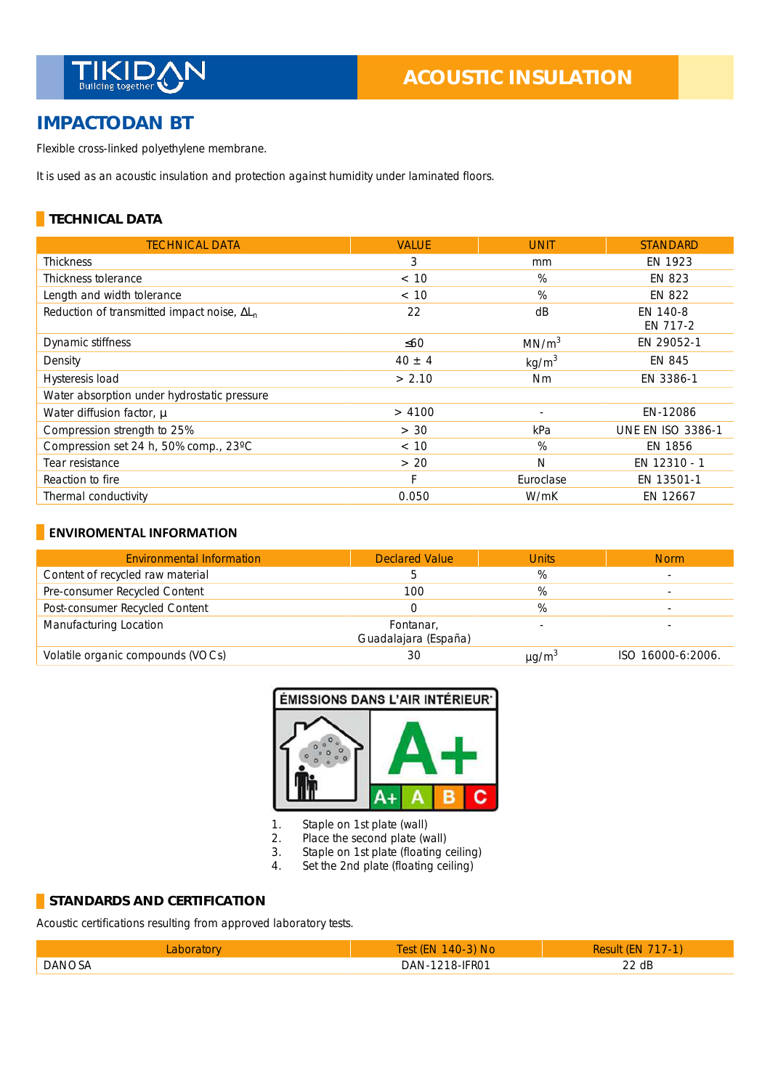

# **IMPACTODAN BT**

Flexible cross-linked polyethylene membrane.

It is used as an acoustic insulation and protection against humidity under laminated floors.

#### **TECHNICAL DATA**

| <b>TECHNICAL DATA</b>                               | <b>VALUE</b> | <b>UNIT</b>       | <b>STANDARD</b>          |
|-----------------------------------------------------|--------------|-------------------|--------------------------|
| Thickness                                           | 3            | mm                | EN 1923                  |
| Thickness tolerance                                 | < 10         | %                 | <b>EN 823</b>            |
| Length and width tolerance                          | < 10         | $\%$              | EN 822                   |
| Reduction of transmitted impact noise, $\Delta L_n$ | 22           | dB                | EN 140-8<br>EN 717-2     |
| Dynamic stiffness                                   | $\leq 60$    | MN/m <sup>3</sup> | EN 29052-1               |
| Density                                             | $40 \pm 4$   | kg/m <sup>3</sup> | EN 845                   |
| Hysteresis load                                     | > 2.10       | <b>Nm</b>         | EN 3386-1                |
| Water absorption under hydrostatic pressure         |              |                   |                          |
| Water diffusion factor, $\mu$                       | > 4100       |                   | EN-12086                 |
| Compression strength to 25%                         | > 30         | kPa               | <b>UNE EN ISO 3386-1</b> |
| Compression set 24 h, 50% comp., 23°C               | < 10         | %                 | EN 1856                  |
| Tear resistance                                     | > 20         | N                 | EN 12310 - 1             |
| Reaction to fire                                    | F            | Euroclase         | EN 13501-1               |
| Thermal conductivity                                | 0.050        | W/mK              | EN 12667                 |

#### **ENVIROMENTAL INFORMATION**

| <b>Environmental Information</b>  | <b>Declared Value</b>             | <b>Units</b>           | <b>Norm</b>       |
|-----------------------------------|-----------------------------------|------------------------|-------------------|
| Content of recycled raw material  |                                   | %                      |                   |
| Pre-consumer Recycled Content     | 100                               | %                      |                   |
| Post-consumer Recycled Content    |                                   | %                      |                   |
| Manufacturing Location            | Fontanar,<br>Guadalajara (España) |                        |                   |
| Volatile organic compounds (VOCs) | 30                                | $\mu$ g/m <sup>3</sup> | ISO 16000-6:2006. |



- 1. Staple on 1st plate (wall)
- 2. Place the second plate (wall)
- 3. Staple on 1st plate (floating ceiling)
- 4. Set the 2nd plate (floating ceiling)

#### **STANDARDS AND CERTIFICATION**

Acoustic certifications resulting from approved laboratory tests.

|               | <b>No</b><br><b>40-</b><br>'N<br>T W | --    |
|---------------|--------------------------------------|-------|
| <b>DANOSA</b> | .8-IFRO1<br>ב ∧∆ר                    | 22 dB |